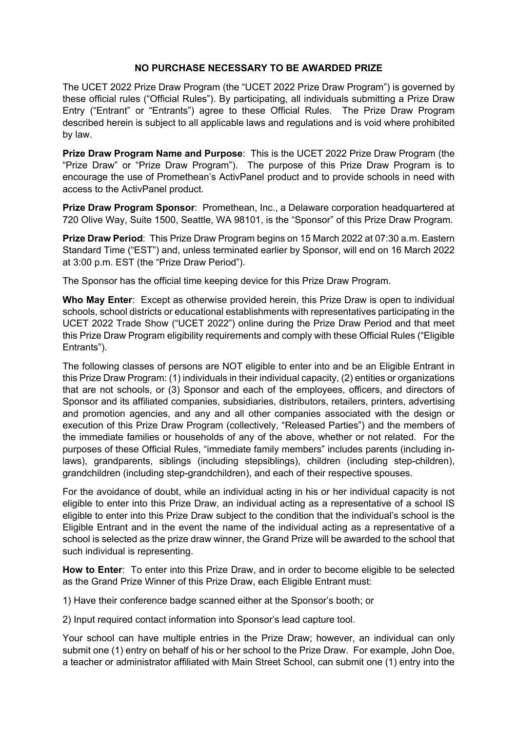#### **NO PURCHASE NECESSARY TO BE AWARDED PRIZE**

The UCET 2022 Prize Draw Program (the "UCET 2022 Prize Draw Program") is governed by these official rules ("Official Rules"). By participating, all individuals submitting a Prize Draw Entry ("Entrant" or "Entrants") agree to these Official Rules. The Prize Draw Program described herein is subject to all applicable laws and regulations and is void where prohibited by law.

**Prize Draw Program Name and Purpose**: This is the UCET 2022 Prize Draw Program (the "Prize Draw" or "Prize Draw Program"). The purpose of this Prize Draw Program is to encourage the use of Promethean's ActivPanel product and to provide schools in need with access to the ActivPanel product.

**Prize Draw Program Sponsor**: Promethean, Inc., a Delaware corporation headquartered at 720 Olive Way, Suite 1500, Seattle, WA 98101, is the "Sponsor" of this Prize Draw Program.

**Prize Draw Period**: This Prize Draw Program begins on 15 March 2022 at 07:30 a.m. Eastern Standard Time ("EST") and, unless terminated earlier by Sponsor, will end on 16 March 2022 at 3:00 p.m. EST (the "Prize Draw Period").

The Sponsor has the official time keeping device for this Prize Draw Program.

**Who May Enter**: Except as otherwise provided herein, this Prize Draw is open to individual schools, school districts or educational establishments with representatives participating in the UCET 2022 Trade Show ("UCET 2022") online during the Prize Draw Period and that meet this Prize Draw Program eligibility requirements and comply with these Official Rules ("Eligible Entrants").

The following classes of persons are NOT eligible to enter into and be an Eligible Entrant in this Prize Draw Program: (1) individuals in their individual capacity, (2) entities or organizations that are not schools, or (3) Sponsor and each of the employees, officers, and directors of Sponsor and its affiliated companies, subsidiaries, distributors, retailers, printers, advertising and promotion agencies, and any and all other companies associated with the design or execution of this Prize Draw Program (collectively, "Released Parties") and the members of the immediate families or households of any of the above, whether or not related. For the purposes of these Official Rules, "immediate family members" includes parents (including inlaws), grandparents, siblings (including stepsiblings), children (including step-children), grandchildren (including step-grandchildren), and each of their respective spouses.

For the avoidance of doubt, while an individual acting in his or her individual capacity is not eligible to enter into this Prize Draw, an individual acting as a representative of a school IS eligible to enter into this Prize Draw subject to the condition that the individual's school is the Eligible Entrant and in the event the name of the individual acting as a representative of a school is selected as the prize draw winner, the Grand Prize will be awarded to the school that such individual is representing.

**How to Enter**: To enter into this Prize Draw, and in order to become eligible to be selected as the Grand Prize Winner of this Prize Draw, each Eligible Entrant must:

1) Have their conference badge scanned either at the Sponsor's booth; or

2) Input required contact information into Sponsor's lead capture tool.

Your school can have multiple entries in the Prize Draw; however, an individual can only submit one (1) entry on behalf of his or her school to the Prize Draw. For example, John Doe, a teacher or administrator affiliated with Main Street School, can submit one (1) entry into the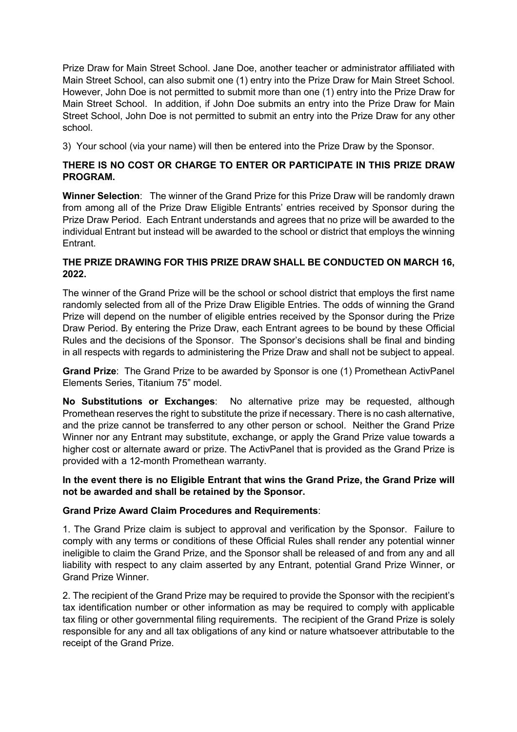Prize Draw for Main Street School. Jane Doe, another teacher or administrator affiliated with Main Street School, can also submit one (1) entry into the Prize Draw for Main Street School. However, John Doe is not permitted to submit more than one (1) entry into the Prize Draw for Main Street School. In addition, if John Doe submits an entry into the Prize Draw for Main Street School, John Doe is not permitted to submit an entry into the Prize Draw for any other school.

3) Your school (via your name) will then be entered into the Prize Draw by the Sponsor.

## **THERE IS NO COST OR CHARGE TO ENTER OR PARTICIPATE IN THIS PRIZE DRAW PROGRAM.**

**Winner Selection**: The winner of the Grand Prize for this Prize Draw will be randomly drawn from among all of the Prize Draw Eligible Entrants' entries received by Sponsor during the Prize Draw Period. Each Entrant understands and agrees that no prize will be awarded to the individual Entrant but instead will be awarded to the school or district that employs the winning Entrant.

## **THE PRIZE DRAWING FOR THIS PRIZE DRAW SHALL BE CONDUCTED ON MARCH 16, 2022.**

The winner of the Grand Prize will be the school or school district that employs the first name randomly selected from all of the Prize Draw Eligible Entries. The odds of winning the Grand Prize will depend on the number of eligible entries received by the Sponsor during the Prize Draw Period. By entering the Prize Draw, each Entrant agrees to be bound by these Official Rules and the decisions of the Sponsor. The Sponsor's decisions shall be final and binding in all respects with regards to administering the Prize Draw and shall not be subject to appeal.

**Grand Prize**: The Grand Prize to be awarded by Sponsor is one (1) Promethean ActivPanel Elements Series, Titanium 75" model.

**No Substitutions or Exchanges**: No alternative prize may be requested, although Promethean reserves the right to substitute the prize if necessary. There is no cash alternative, and the prize cannot be transferred to any other person or school. Neither the Grand Prize Winner nor any Entrant may substitute, exchange, or apply the Grand Prize value towards a higher cost or alternate award or prize. The ActivPanel that is provided as the Grand Prize is provided with a 12-month Promethean warranty.

#### **In the event there is no Eligible Entrant that wins the Grand Prize, the Grand Prize will not be awarded and shall be retained by the Sponsor.**

# **Grand Prize Award Claim Procedures and Requirements**:

1. The Grand Prize claim is subject to approval and verification by the Sponsor. Failure to comply with any terms or conditions of these Official Rules shall render any potential winner ineligible to claim the Grand Prize, and the Sponsor shall be released of and from any and all liability with respect to any claim asserted by any Entrant, potential Grand Prize Winner, or Grand Prize Winner.

2. The recipient of the Grand Prize may be required to provide the Sponsor with the recipient's tax identification number or other information as may be required to comply with applicable tax filing or other governmental filing requirements. The recipient of the Grand Prize is solely responsible for any and all tax obligations of any kind or nature whatsoever attributable to the receipt of the Grand Prize.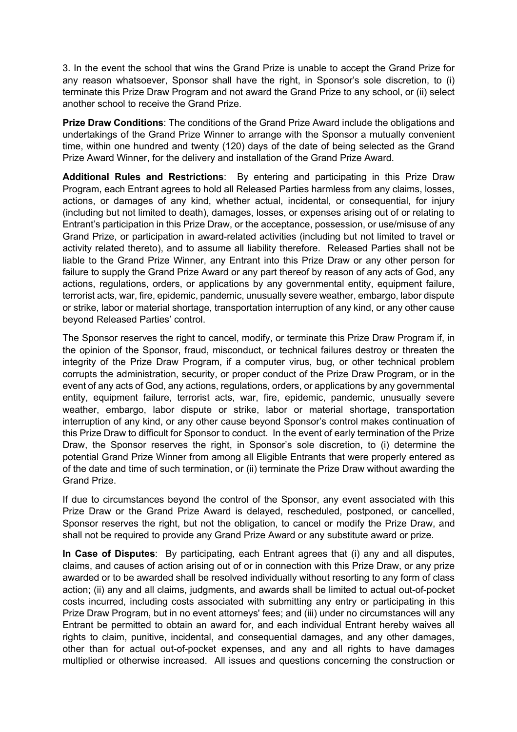3. In the event the school that wins the Grand Prize is unable to accept the Grand Prize for any reason whatsoever, Sponsor shall have the right, in Sponsor's sole discretion, to (i) terminate this Prize Draw Program and not award the Grand Prize to any school, or (ii) select another school to receive the Grand Prize.

**Prize Draw Conditions**: The conditions of the Grand Prize Award include the obligations and undertakings of the Grand Prize Winner to arrange with the Sponsor a mutually convenient time, within one hundred and twenty (120) days of the date of being selected as the Grand Prize Award Winner, for the delivery and installation of the Grand Prize Award.

**Additional Rules and Restrictions**: By entering and participating in this Prize Draw Program, each Entrant agrees to hold all Released Parties harmless from any claims, losses, actions, or damages of any kind, whether actual, incidental, or consequential, for injury (including but not limited to death), damages, losses, or expenses arising out of or relating to Entrant's participation in this Prize Draw, or the acceptance, possession, or use/misuse of any Grand Prize, or participation in award-related activities (including but not limited to travel or activity related thereto), and to assume all liability therefore. Released Parties shall not be liable to the Grand Prize Winner, any Entrant into this Prize Draw or any other person for failure to supply the Grand Prize Award or any part thereof by reason of any acts of God, any actions, regulations, orders, or applications by any governmental entity, equipment failure, terrorist acts, war, fire, epidemic, pandemic, unusually severe weather, embargo, labor dispute or strike, labor or material shortage, transportation interruption of any kind, or any other cause beyond Released Parties' control.

The Sponsor reserves the right to cancel, modify, or terminate this Prize Draw Program if, in the opinion of the Sponsor, fraud, misconduct, or technical failures destroy or threaten the integrity of the Prize Draw Program, if a computer virus, bug, or other technical problem corrupts the administration, security, or proper conduct of the Prize Draw Program, or in the event of any acts of God, any actions, regulations, orders, or applications by any governmental entity, equipment failure, terrorist acts, war, fire, epidemic, pandemic, unusually severe weather, embargo, labor dispute or strike, labor or material shortage, transportation interruption of any kind, or any other cause beyond Sponsor's control makes continuation of this Prize Draw to difficult for Sponsor to conduct. In the event of early termination of the Prize Draw, the Sponsor reserves the right, in Sponsor's sole discretion, to (i) determine the potential Grand Prize Winner from among all Eligible Entrants that were properly entered as of the date and time of such termination, or (ii) terminate the Prize Draw without awarding the Grand Prize.

If due to circumstances beyond the control of the Sponsor, any event associated with this Prize Draw or the Grand Prize Award is delayed, rescheduled, postponed, or cancelled, Sponsor reserves the right, but not the obligation, to cancel or modify the Prize Draw, and shall not be required to provide any Grand Prize Award or any substitute award or prize.

**In Case of Disputes**: By participating, each Entrant agrees that (i) any and all disputes, claims, and causes of action arising out of or in connection with this Prize Draw, or any prize awarded or to be awarded shall be resolved individually without resorting to any form of class action; (ii) any and all claims, judgments, and awards shall be limited to actual out-of-pocket costs incurred, including costs associated with submitting any entry or participating in this Prize Draw Program, but in no event attorneys' fees; and (iii) under no circumstances will any Entrant be permitted to obtain an award for, and each individual Entrant hereby waives all rights to claim, punitive, incidental, and consequential damages, and any other damages, other than for actual out-of-pocket expenses, and any and all rights to have damages multiplied or otherwise increased. All issues and questions concerning the construction or